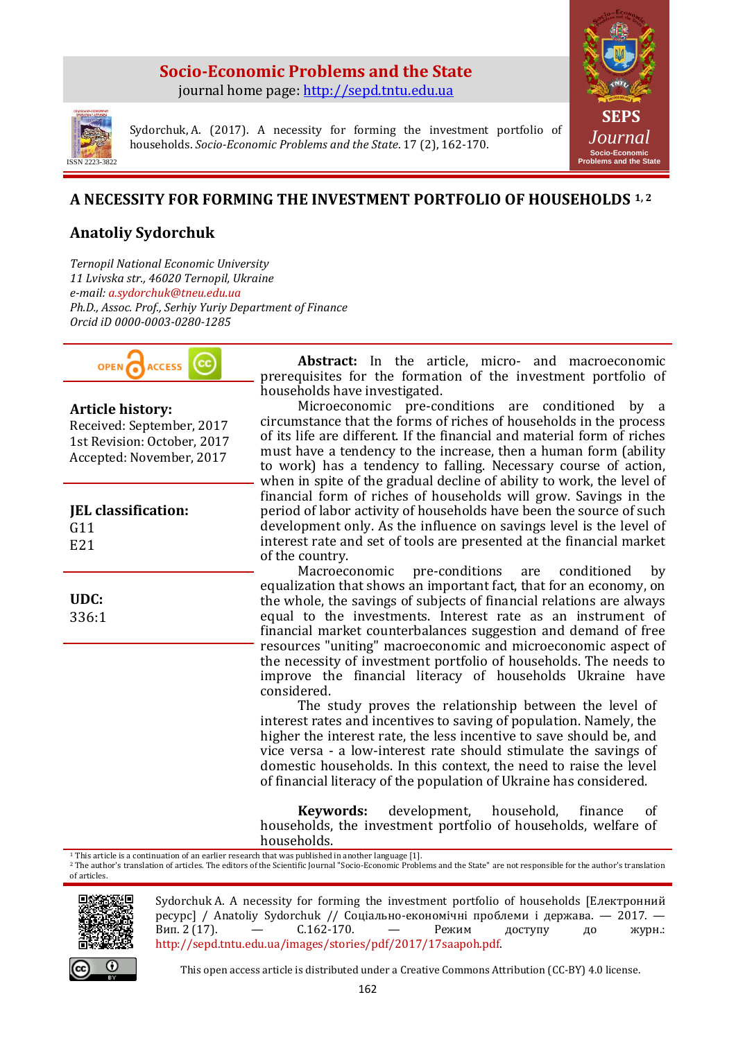#### **Socio-Economic Problems and the State** journal home page: [http://sepd.tntu.edu.ua](http://sepd.tntu.edu.ua/)



ISSN 2223-3822

Sydorchuk, A. (2017). A necessity for forming the investment portfolio of households. *Socio-Economic Problems and the State*. 17 (2), 162-170.

## **A NECESSITY FOR FORMING THE INVESTMENT PORTFOLIO OF HOUSEHOLDS 1, 2**

# **Anatoliy Sydorchuk**

*Ternopil National Economic University 11 Lvivska str., 46020 Ternopil, Ukraine e-mail: a.sydorchuk@tneu.edu.ua Ph.D., Assoc. Prof., Serhiy Yuriy Department of Finance Orcid iD 0000-0003-0280-1285*



#### **Article history:**

Received: September, 2017 1st Revision: October, 2017 Accepted: November, 2017

**JEL classification:** G11 E21

**UDC:** 

336:1

**Abstract:** In the article, micro- and macroeconomic prerequisites for the formation of the investment portfolio of households have investigated.

Microeconomic pre-conditions are conditioned by a circumstance that the forms of riches of households in the process of its life are different. If the financial and material form of riches must have a tendency to the increase, then a human form (ability to work) has a tendency to falling. Necessary course of action, when in spite of the gradual decline of ability to work, the level of financial form of riches of households will grow. Savings in the period of labor activity of households have been the source of such development only. As the influence on savings level is the level of interest rate and set of tools are presented at the financial market of the country.

Macroeconomic pre-conditions are conditioned equalization that shows an important fact, that for an economy, on the whole, the savings of subjects of financial relations are always equal to the investments. Interest rate as an instrument of financial market counterbalances suggestion and demand of free resources "uniting" macroeconomic and microeconomic aspect of the necessity of investment portfolio of households. The needs to improve the financial literacy of households Ukraine have considered.

The study proves the relationship between the level of interest rates and incentives to saving of population. Namely, the higher the interest rate, the less incentive to save should be, and vice versa - a low-interest rate should stimulate the savings of domestic households. In this context, the need to raise the level of financial literacy of the population of Ukraine has considered.

**Keywords:** development, household, finance of households, the investment portfolio of households, welfare of households.

<sup>1</sup> This article is a continuation of an earlier research that was published in another language [1].

<sup>2</sup> The author's translation of articles. The editors of the Scientific Journal "Socio-Economic Problems and the State" are not responsible for the author's translation of articles.



Sydorchuk A. A necessity for forming the investment portfolio of households [Електронний ресурс] / Anatoliy Sydorchuk // Соціально-економічні проблеми і держава. — 2017. — Вип. 2 (17). — С.162-170. — Режим доступу до журн.: http://sepd.tntu.edu.ua/images/stories/pdf/2017/17saapoh.pdf.



This open access article is distributed under a Creative Commons Attribution (CC-BY) 4.0 license.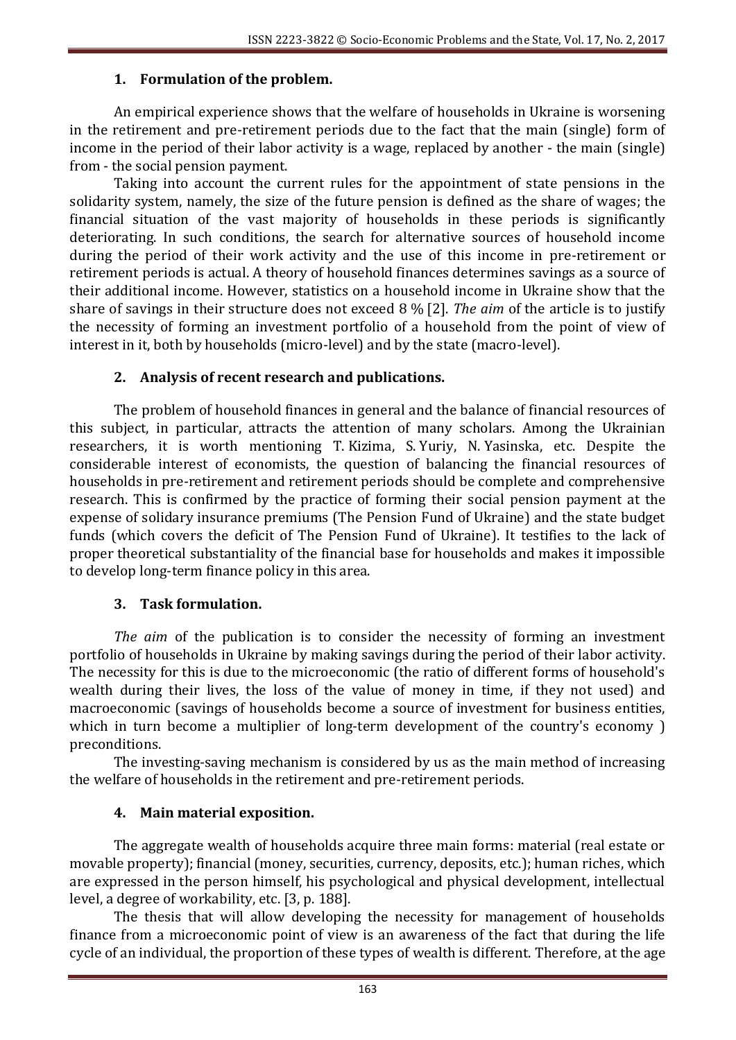## **1. Formulation of the problem.**

An empirical experience shows that the welfare of households in Ukraine is worsening in the retirement and pre-retirement periods due to the fact that the main (single) form of income in the period of their labor activity is a wage, replaced by another - the main (single) from - the social pension payment.

Taking into account the current rules for the appointment of state pensions in the solidarity system, namely, the size of the future pension is defined as the share of wages; the financial situation of the vast majority of households in these periods is significantly deteriorating. In such conditions, the search for alternative sources of household income during the period of their work activity and the use of this income in pre-retirement or retirement periods is actual. A theory of household finances determines savings as a source of their additional income. However, statistics on a household income in Ukraine show that the share of savings in their structure does not exceed 8 % [2]. *The aim* of the article is to justify the necessity of forming an investment portfolio of a household from the point of view of interest in it, both by households (micro-level) and by the state (macro-level).

#### **2. Analysis of recent research and publications.**

The problem of household finances in general and the balance of financial resources of this subject, in particular, attracts the attention of many scholars. Among the Ukrainian researchers, it is worth mentioning T. Kizima, S. Yuriy, N. Yasinska, etc. Despite the considerable interest of economists, the question of balancing the financial resources of households in pre-retirement and retirement periods should be complete and comprehensive research. This is confirmed by the practice of forming their social pension payment at the expense of solidary insurance premiums (The Pension Fund of Ukraine) and the state budget funds (which covers the deficit of The Pension Fund of Ukraine). It testifies to the lack of proper theoretical substantiality of the financial base for households and makes it impossible to develop long-term finance policy in this area.

#### **3. Task formulation.**

*The aim* of the publication is to consider the necessity of forming an investment portfolio of households in Ukraine by making savings during the period of their labor activity. The necessity for this is due to the microeconomic (the ratio of different forms of household's wealth during their lives, the loss of the value of money in time, if they not used) and macroeconomic (savings of households become a source of investment for business entities, which in turn become a multiplier of long-term development of the country's economy ) preconditions.

The investing-saving mechanism is considered by us as the main method of increasing the welfare of households in the retirement and pre-retirement periods.

## **4. Main material exposition.**

The aggregate wealth of households acquire three main forms: material (real estate or movable property); financial (money, securities, currency, deposits, etc.); human riches, which are expressed in the person himself, his psychological and physical development, intellectual level, a degree of workability, etc. [3, p. 188].

The thesis that will allow developing the necessity for management of households finance from a microeconomic point of view is an awareness of the fact that during the life cycle of an individual, the proportion of these types of wealth is different. Therefore, at the age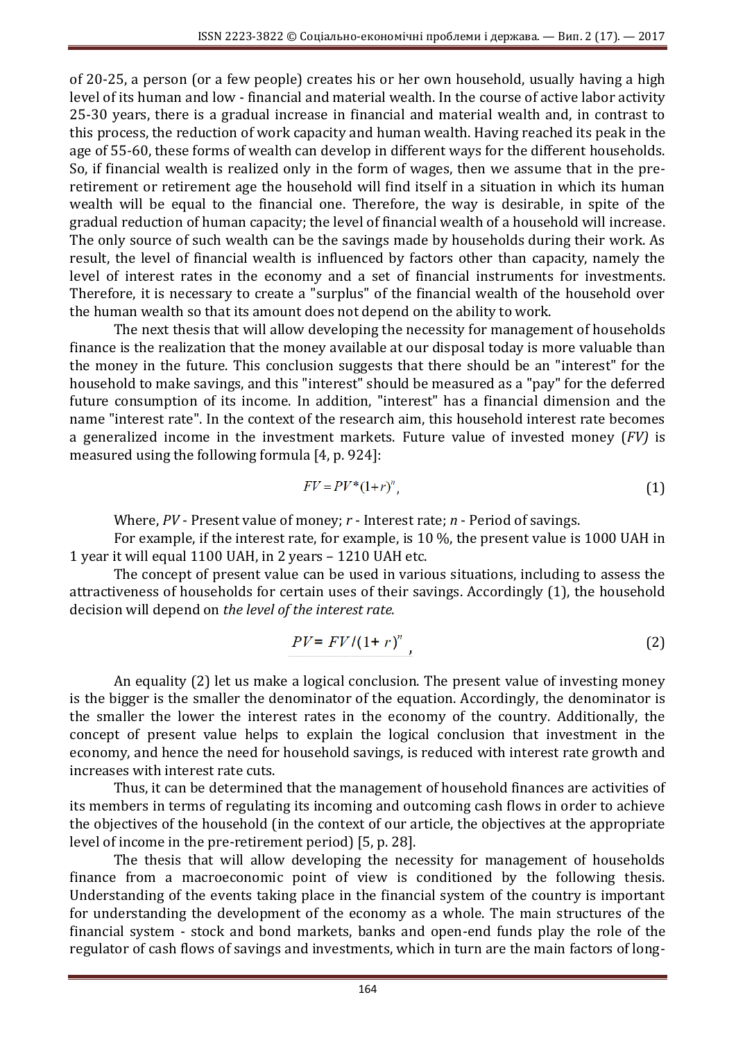of 20-25, a person (or a few people) creates his or her own household, usually having a high level of its human and low - financial and material wealth. In the course of active labor activity 25-30 years, there is a gradual increase in financial and material wealth and, in contrast to this process, the reduction of work capacity and human wealth. Having reached its peak in the age of 55-60, these forms of wealth can develop in different ways for the different households. So, if financial wealth is realized only in the form of wages, then we assume that in the preretirement or retirement age the household will find itself in a situation in which its human wealth will be equal to the financial one. Therefore, the way is desirable, in spite of the gradual reduction of human capacity; the level of financial wealth of a household will increase. The only source of such wealth can be the savings made by households during their work. As result, the level of financial wealth is influenced by factors other than capacity, namely the level of interest rates in the economy and a set of financial instruments for investments. Therefore, it is necessary to create a "surplus" of the financial wealth of the household over the human wealth so that its amount does not depend on the ability to work.

The next thesis that will allow developing the necessity for management of households finance is the realization that the money available at our disposal today is more valuable than the money in the future. This conclusion suggests that there should be an "interest" for the household to make savings, and this "interest" should be measured as a "pay" for the deferred future consumption of its income. In addition, "interest" has a financial dimension and the name "interest rate". In the context of the research aim, this household interest rate becomes a generalized income in the investment markets. Future value of invested money (*FV)* is measured using the following formula [4, p. 924]:

$$
FV = PV^*(1+r)^n,\tag{1}
$$

Where, *PV* - Present value of money; *r* - Interest rate; *n* - Period of savings.

For example, if the interest rate, for example, is 10 %, the present value is 1000 UAH in 1 year it will equal 1100 UAH, in 2 years – 1210 UAH etc.

The concept of present value can be used in various situations, including to assess the attractiveness of households for certain uses of their savings. Accordingly (1), the household decision will depend on *the level of the interest rate.*

$$
PV = FV/(1+r)^{n} \tag{2}
$$

An equality (2) let us make a logical conclusion. The present value of investing money is the bigger is the smaller the denominator of the equation. Accordingly, the denominator is the smaller the lower the interest rates in the economy of the country. Additionally, the concept of present value helps to explain the logical conclusion that investment in the economy, and hence the need for household savings, is reduced with interest rate growth and increases with interest rate cuts.

Thus, it can be determined that the management of household finances are activities of its members in terms of regulating its incoming and outcoming cash flows in order to achieve the objectives of the household (in the context of our article, the objectives at the appropriate level of income in the pre-retirement period) [5, p. 28].

The thesis that will allow developing the necessity for management of households finance from a macroeconomic point of view is conditioned by the following thesis. Understanding of the events taking place in the financial system of the country is important for understanding the development of the economy as a whole. The main structures of the financial system - stock and bond markets, banks and open-end funds play the role of the regulator of cash flows of savings and investments, which in turn are the main factors of long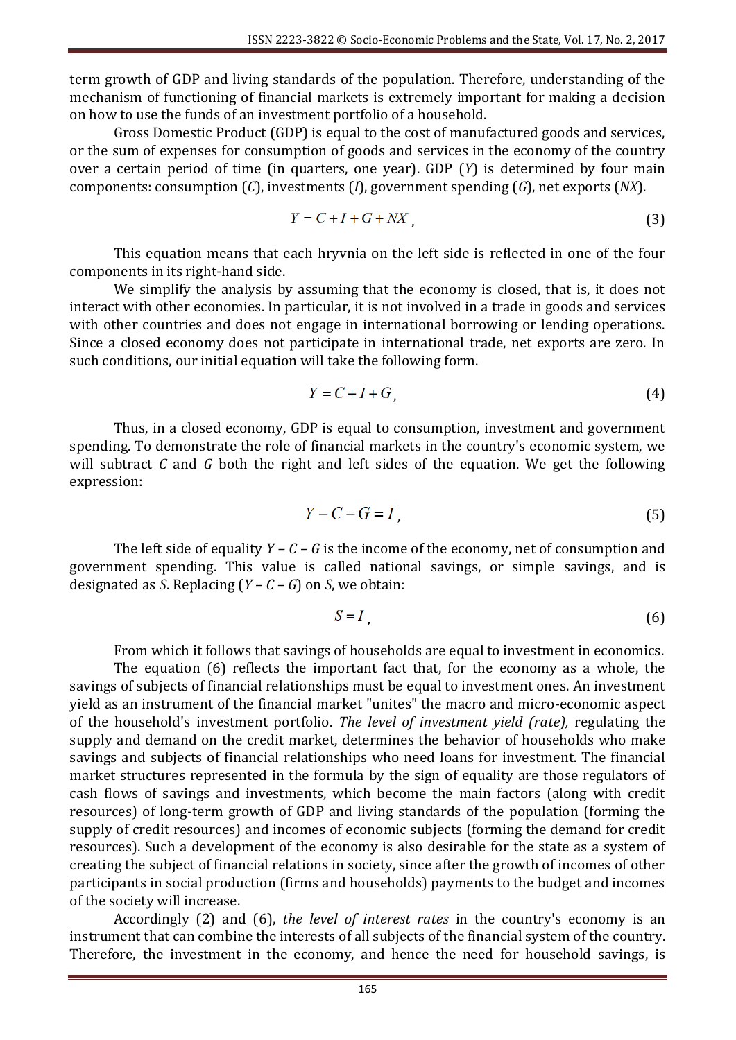term growth of GDP and living standards of the population. Therefore, understanding of the mechanism of functioning of financial markets is extremely important for making a decision on how to use the funds of an investment portfolio of a household.

Gross Domestic Product (GDP) is equal to the cost of manufactured goods and services, or the sum of expenses for consumption of goods and services in the economy of the country over a certain period of time (in quarters, one year). GDP (*Y*) is determined by four main components: consumption (*C*), investments (*I*), government spending (*G*), net exports (*NX*).

$$
Y = C + I + G + N X \tag{3}
$$

This equation means that each hryvnia on the left side is reflected in one of the four components in its right-hand side.

We simplify the analysis by assuming that the economy is closed, that is, it does not interact with other economies. In particular, it is not involved in a trade in goods and services with other countries and does not engage in international borrowing or lending operations. Since a closed economy does not participate in international trade, net exports are zero. In such conditions, our initial equation will take the following form.

$$
Y = C + I + G \tag{4}
$$

Thus, in a closed economy, GDP is equal to consumption, investment and government spending. To demonstrate the role of financial markets in the country's economic system, we will subtract *C* and *G* both the right and left sides of the equation. We get the following expression:

$$
Y - C - G = I \tag{5}
$$

The left side of equality  $Y - C - G$  is the income of the economy, net of consumption and government spending. This value is called national savings, or simple savings, and is designated as *S*. Replacing (*Y – C – G*) on *S*, we obtain:

$$
S = I \tag{6}
$$

From which it follows that savings of households are equal to investment in economics. The equation (6) reflects the important fact that, for the economy as a whole, the savings of subjects of financial relationships must be equal to investment ones. An investment yield as an instrument of the financial market "unites" the macro and micro-economic aspect of the household's investment portfolio. *The level of investment yield (rate),* regulating the supply and demand on the credit market, determines the behavior of households who make savings and subjects of financial relationships who need loans for investment. The financial market structures represented in the formula by the sign of equality are those regulators of cash flows of savings and investments, which become the main factors (along with credit resources) of long-term growth of GDP and living standards of the population (forming the supply of credit resources) and incomes of economic subjects (forming the demand for credit resources). Such a development of the economy is also desirable for the state as a system of creating the subject of financial relations in society, since after the growth of incomes of other participants in social production (firms and households) payments to the budget and incomes of the society will increase.

Accordingly (2) and (6), *the level of interest rates* in the country's economy is an instrument that can combine the interests of all subjects of the financial system of the country. Therefore, the investment in the economy, and hence the need for household savings, is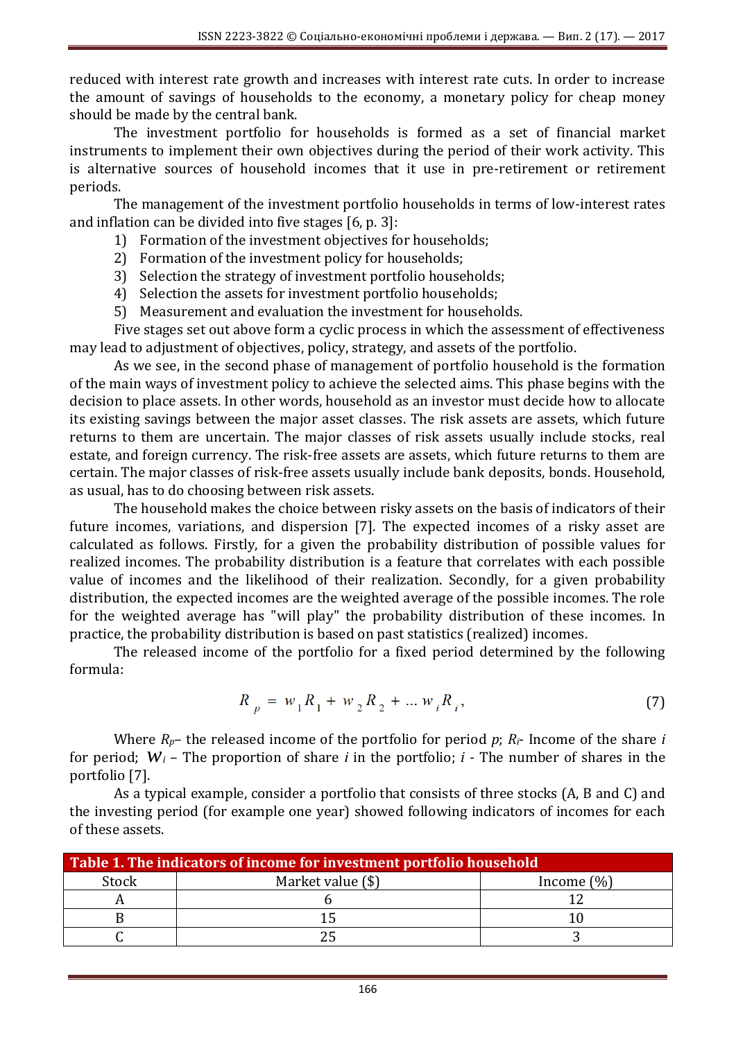reduced with interest rate growth and increases with interest rate cuts. In order to increase the amount of savings of households to the economy, a monetary policy for cheap money should be made by the central bank.

The investment portfolio for households is formed as a set of financial market instruments to implement their own objectives during the period of their work activity. This is alternative sources of household incomes that it use in pre-retirement or retirement periods.

The management of the investment portfolio households in terms of low-interest rates and inflation can be divided into five stages [6, p. 3]:

- 1) Formation of the investment objectives for households;
- 2) Formation of the investment policy for households;
- 3) Selection the strategy of investment portfolio households;
- 4) Selection the assets for investment portfolio households;
- 5) Measurement and evaluation the investment for households.

Five stages set out above form a cyclic process in which the assessment of effectiveness may lead to adjustment of objectives, policy, strategy, and assets of the portfolio.

As we see, in the second phase of management of portfolio household is the formation of the main ways of investment policy to achieve the selected aims. This phase begins with the decision to place assets. In other words, household as an investor must decide how to allocate its existing savings between the major asset classes. The risk assets are assets, which future returns to them are uncertain. The major classes of risk assets usually include stocks, real estate, and foreign currency. The risk-free assets are assets, which future returns to them are certain. The major classes of risk-free assets usually include bank deposits, bonds. Household, as usual, has to do choosing between risk assets.

The household makes the choice between risky assets on the basis of indicators of their future incomes, variations, and dispersion [7]. The expected incomes of a risky asset are calculated as follows. Firstly, for a given the probability distribution of possible values for realized incomes. The probability distribution is a feature that correlates with each possible value of incomes and the likelihood of their realization. Secondly, for a given probability distribution, the expected incomes are the weighted average of the possible incomes. The role for the weighted average has "will play" the probability distribution of these incomes. In practice, the probability distribution is based on past statistics (realized) incomes.

The released income of the portfolio for a fixed period determined by the following formula:

$$
R_p = w_1 R_1 + w_2 R_2 + \dots w_i R_i,
$$
\n(7)

Where *Rp*– the released income of the portfolio for period *p*; *Ri*- Income of the share *i* for period;  $W_i$  – The proportion of share *i* in the portfolio; *i* - The number of shares in the portfolio [7].

As a typical example, consider a portfolio that consists of three stocks (A, B and C) and the investing period (for example one year) showed following indicators of incomes for each of these assets.

| Table 1. The indicators of income for investment portfolio household |                   |               |
|----------------------------------------------------------------------|-------------------|---------------|
| Stock                                                                | Market value (\$) | Income $(\%)$ |
|                                                                      |                   |               |
|                                                                      |                   |               |
|                                                                      |                   |               |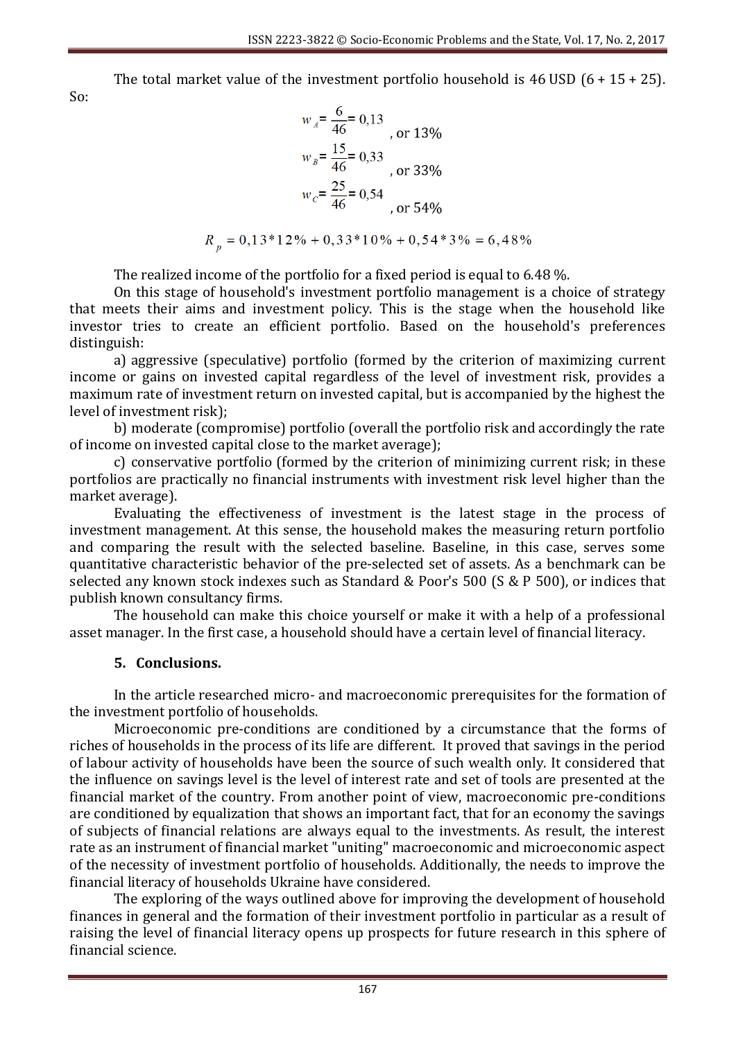The total market value of the investment portfolio household is  $46 \text{ USD}$  (6 + 15 + 25).

So:

$$
w_A = \frac{6}{46} = 0.13
$$
  
\n
$$
w_B = \frac{15}{46} = 0.33
$$
  
\n
$$
w_C = \frac{25}{46} = 0.54
$$
  
\n
$$
or 54\%
$$

$$
R_n = 0.13*12\% + 0.33*10\% + 0.54*3\% = 6.48\%
$$

The realized income of the portfolio for a fixed period is equal to 6.48 %.

On this stage of household's investment portfolio management is a choice of strategy that meets their aims and investment policy. This is the stage when the household like investor tries to create an efficient portfolio. Based on the household's preferences distinguish:

a) aggressive (speculative) portfolio (formed by the criterion of maximizing current income or gains on invested capital regardless of the level of investment risk, provides a maximum rate of investment return on invested capital, but is accompanied by the highest the level of investment risk);

b) moderate (compromise) portfolio (overall the portfolio risk and accordingly the rate of income on invested capital close to the market average);

c) conservative portfolio (formed by the criterion of minimizing current risk; in these portfolios are practically no financial instruments with investment risk level higher than the market average).

Evaluating the effectiveness of investment is the latest stage in the process of investment management. At this sense, the household makes the measuring return portfolio and comparing the result with the selected baseline. Baseline, in this case, serves some quantitative characteristic behavior of the pre-selected set of assets. As a benchmark can be selected any known stock indexes such as Standard & Poor's 500 (S & P 500), or indices that publish known consultancy firms.

The household can make this choice yourself or make it with a help of a professional asset manager. In the first case, a household should have a certain level of financial literacy.

## **5. Conclusions.**

In the article researched micro- and macroeconomic prerequisites for the formation of the investment portfolio of households.

Microeconomic pre-conditions are conditioned by a circumstance that the forms of riches of households in the process of its life are different. It proved that savings in the period of labour activity of households have been the source of such wealth only. It considered that the influence on savings level is the level of interest rate and set of tools are presented at the financial market of the country. From another point of view, macroeconomic pre-conditions are conditioned by equalization that shows an important fact, that for an economy the savings of subjects of financial relations are always equal to the investments. As result, the interest rate as an instrument of financial market "uniting" macroeconomic and microeconomic aspect of the necessity of investment portfolio of households. Additionally, the needs to improve the financial literacy of households Ukraine have considered.

The exploring of the ways outlined above for improving the development of household finances in general and the formation of their investment portfolio in particular as a result of raising the level of financial literacy opens up prospects for future research in this sphere of financial science.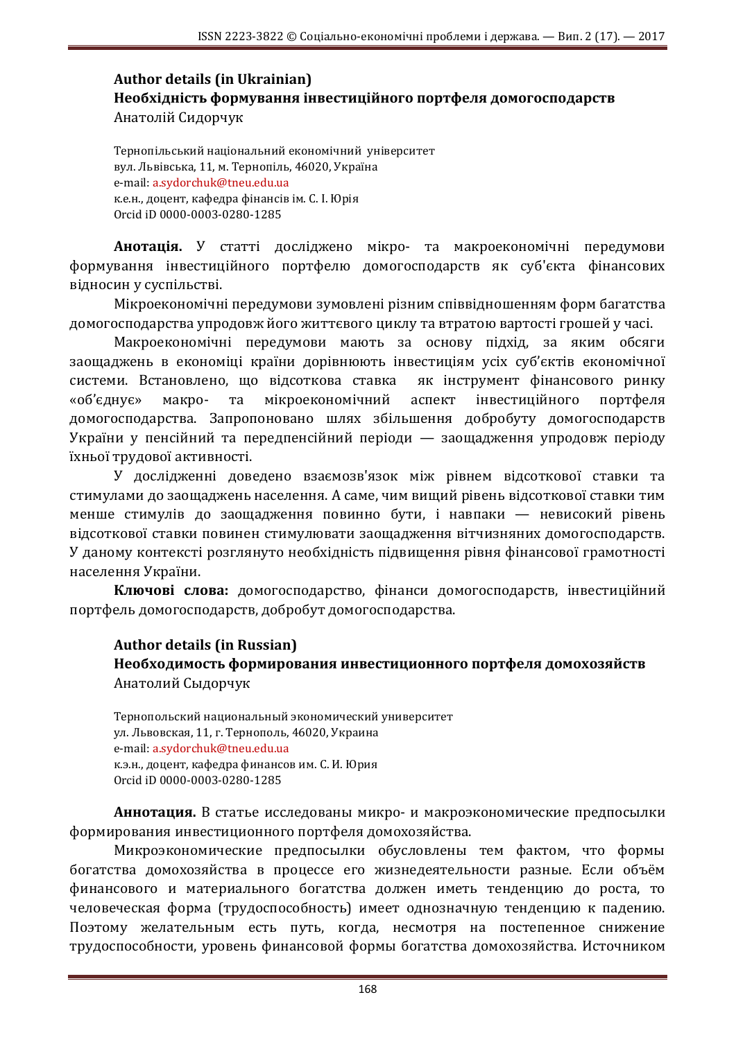## **Author details (in Ukrainian) Необхідність формування інвестиційного портфеля домогосподарств** Анатолій Сидорчук

Тернопільський національний економічний університет вул. Львівська, 11, м. Тернопіль, 46020, Україна e-mail: a.sydorchuk@tneu.edu.ua к.е.н., доцент, кафедра фінансів ім. С. І. Юрія Orcid iD 0000-0003-0280-1285

**Анотація.** У статті досліджено мікро- та макроекономічні передумови формування інвестиційного портфелю домогосподарств як суб'єкта фінансових відносин у суспільстві.

Мікроекономічні передумови зумовлені різним співвідношенням форм багатства домогосподарства упродовж його життєвого циклу та втратою вартості грошей у часі.

Макроекономічні передумови мають за основу підхід, за яким обсяги заощаджень в економіці країни дорівнюють інвестиціям усіх суб'єктів економічної системи. Встановлено, що відсоткова ставка як інструмент фінансового ринку «об'єднує» макро- та мікроекономічний аспект інвестиційного портфеля домогосподарства. Запропоновано шлях збільшення добробуту домогосподарств України у пенсійний та передпенсійний періоди — заощадження упродовж періоду їхньої трудової активності.

У дослідженні доведено взаємозв'язок між рівнем відсоткової ставки та стимулами до заощаджень населення. А саме, чим вищий рівень відсоткової ставки тим менше стимулів до заощадження повинно бути, і навпаки — невисокий рівень відсоткової ставки повинен стимулювати заощадження вітчизняних домогосподарств. У даному контексті розглянуто необхідність підвищення рівня фінансової грамотності населення України.

**Ключові слова:** домогосподарство, фінанси домогосподарств, інвестиційний портфель домогосподарств, добробут домогосподарства.

#### **Author details (in Russian) Необходимость формирования инвестиционного портфеля домохозяйств** Анатолий Сыдорчук

Тернопольский национальный экономический университет ул. Львовская, 11, г. Тернополь, 46020, Украина e-mail: a.sydorchuk@tneu.edu.ua к.э.н., доцент, кафедра финансов им. С. И. Юрия Orcid iD 0000-0003-0280-1285

**Аннотация.** В статье исследованы микро- и макроэкономические предпосылки формирования инвестиционного портфеля домохозяйства.

Микроэкономические предпосылки обусловлены тем фактом, что формы богатства домохозяйства в процессе его жизнедеятельности разные. Если объём финансового и материального богатства должен иметь тенденцию до роста, то человеческая форма (трудоспособность) имеет однозначную тенденцию к падению. Поэтому желательным есть путь, когда, несмотря на постепенное снижение трудоспособности, уровень финансовой формы богатства домохозяйства. Источником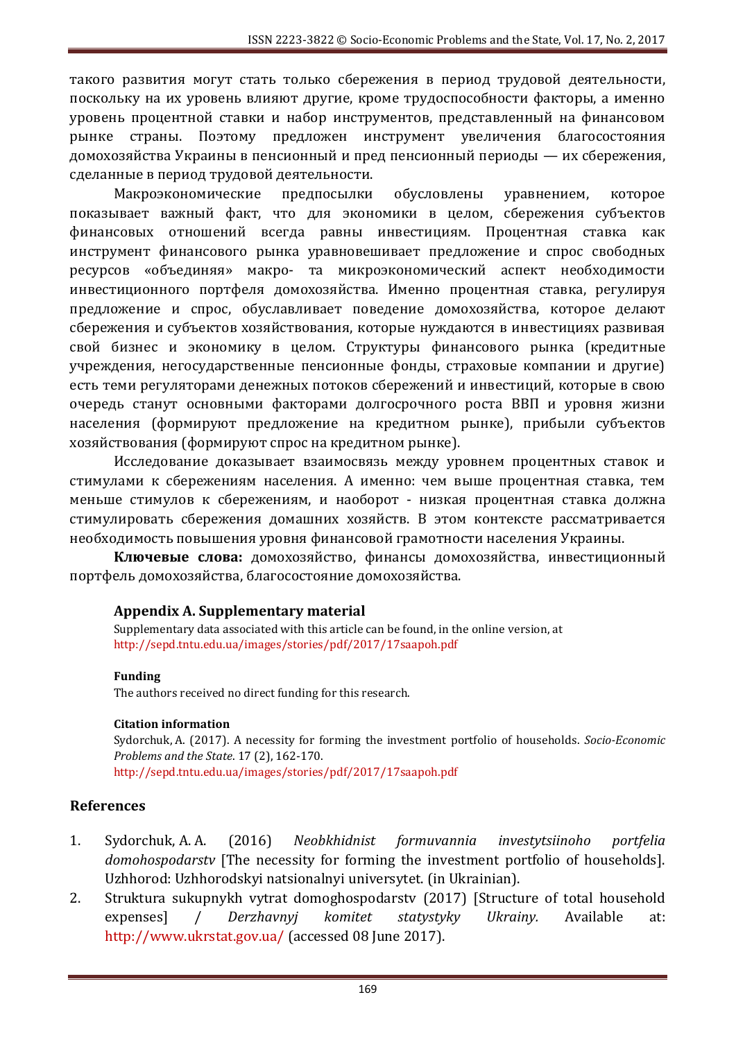такого развития могут стать только сбережения в период трудовой деятельности, поскольку на их уровень влияют другие, кроме трудоспособности факторы, а именно уровень процентной ставки и набор инструментов, представленный на финансовом рынке страны. Поэтому предложен инструмент увеличения благосостояния домохозяйства Украины в пенсионный и пред пенсионный периоды — их сбережения, сделанные в период трудовой деятельности.

Макроэкономические предпосылки обусловлены уравнением, которое показывает важный факт, что для экономики в целом, сбережения субъектов финансовых отношений всегда равны инвестициям. Процентная ставка как инструмент финансового рынка уравновешивает предложение и спрос свободных ресурсов «объединяя» макро- та микроэкономический аспект необходимости инвестиционного портфеля домохозяйства. Именно процентная ставка, регулируя предложение и спрос, обуславливает поведение домохозяйства, которое делают сбережения и субъектов хозяйствования, которые нуждаются в инвестициях развивая свой бизнес и экономику в целом. Структуры финансового рынка (кредитные учреждения, негосударственные пенсионные фонды, страховые компании и другие) есть теми регуляторами денежных потоков сбережений и инвестиций, которые в свою очередь станут основными факторами долгосрочного роста ВВП и уровня жизни населения (формируют предложение на кредитном рынке), прибыли субъектов хозяйствования (формируют спрос на кредитном рынке).

Исследование доказывает взаимосвязь между уровнем процентных ставок и стимулами к сбережениям населения. А именно: чем выше процентная ставка, тем меньше стимулов к сбережениям, и наоборот - низкая процентная ставка должна стимулировать сбережения домашних хозяйств. В этом контексте рассматривается необходимость повышения уровня финансовой грамотности населения Украины.

**Ключевые слова:** домохозяйство, финансы домохозяйства, инвестиционный портфель домохозяйства, благосостояние домохозяйства.

## **Appendix A. Supplementary material**

Supplementary data associated with this article can be found, in the online version, at http://sepd.tntu.edu.ua/images/stories/pdf/2017/17saapoh.pdf

#### **Funding**

The authors received no direct funding for this research.

#### **Citation information**

Sydorchuk, A. (2017). A necessity for forming the investment portfolio of households. *Socio-Economic Problems and the State*. 17 (2), 162-170. http://sepd.tntu.edu.ua/images/stories/pdf/2017/17saapoh.pdf

## **References**

- 1. Sydorchuk, A. A. (2016) *Neobkhidnist formuvannia investytsiinoho portfelia domohospodarstv* [The necessity for forming the investment portfolio of households]. Uzhhorod: Uzhhorodskyi natsionalnyi universytet. (in Ukrainian).
- 2. Struktura sukupnykh vytrat domoghospodarstv (2017) [Structure of total household expenses] / *Derzhavnyj komitet statystyky Ukrainy.* Available at: http://www.ukrstat.gov.ua/ (accessed 08 June 2017).